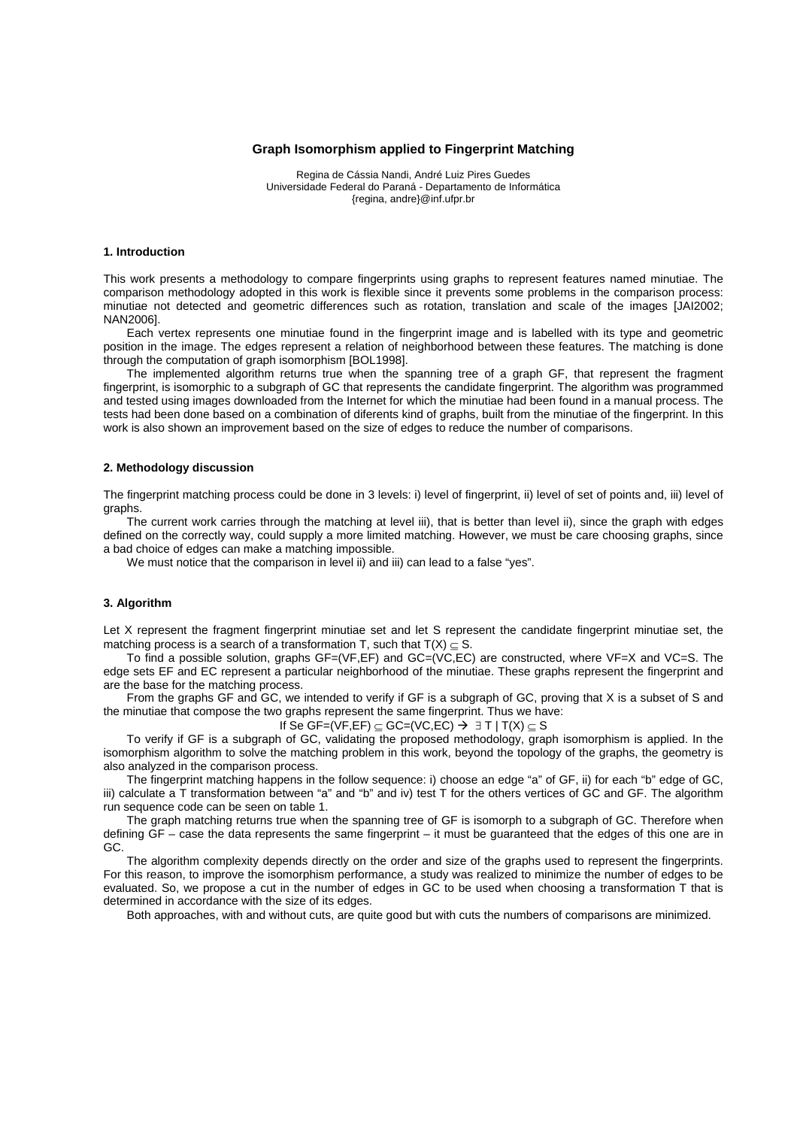## **Graph Isomorphism applied to Fingerprint Matching**

Regina de Cássia Nandi, André Luiz Pires Guedes Universidade Federal do Paraná - Departamento de Informática {regina, andre}@inf.ufpr.br

### **1. Introduction**

This work presents a methodology to compare fingerprints using graphs to represent features named minutiae. The comparison methodology adopted in this work is flexible since it prevents some problems in the comparison process: minutiae not detected and geometric differences such as rotation, translation and scale of the images [JAI2002; NAN2006].

Each vertex represents one minutiae found in the fingerprint image and is labelled with its type and geometric position in the image. The edges represent a relation of neighborhood between these features. The matching is done through the computation of graph isomorphism [BOL1998].

The implemented algorithm returns true when the spanning tree of a graph GF, that represent the fragment fingerprint, is isomorphic to a subgraph of GC that represents the candidate fingerprint. The algorithm was programmed and tested using images downloaded from the Internet for which the minutiae had been found in a manual process. The tests had been done based on a combination of diferents kind of graphs, built from the minutiae of the fingerprint. In this work is also shown an improvement based on the size of edges to reduce the number of comparisons.

## **2. Methodology discussion**

The fingerprint matching process could be done in 3 levels: i) level of fingerprint, ii) level of set of points and, iii) level of graphs.

The current work carries through the matching at level iii), that is better than level ii), since the graph with edges defined on the correctly way, could supply a more limited matching. However, we must be care choosing graphs, since a bad choice of edges can make a matching impossible.

We must notice that the comparison in level ii) and iii) can lead to a false "yes".

#### **3. Algorithm**

Let X represent the fragment fingerprint minutiae set and let S represent the candidate fingerprint minutiae set, the matching process is a search of a transformation T, such that  $T(X) \subseteq S$ .

To find a possible solution, graphs GF=(VF,EF) and GC=(VC,EC) are constructed, where VF=X and VC=S. The edge sets EF and EC represent a particular neighborhood of the minutiae. These graphs represent the fingerprint and are the base for the matching process.

From the graphs GF and GC, we intended to verify if GF is a subgraph of GC, proving that X is a subset of S and the minutiae that compose the two graphs represent the same fingerprint. Thus we have:

If Se GF=(VF, EF)  $\subseteq$  GC=(VC, EC)  $\rightarrow$   $\exists$  T | T(X)  $\subseteq$  S

To verify if GF is a subgraph of GC, validating the proposed methodology, graph isomorphism is applied. In the isomorphism algorithm to solve the matching problem in this work, beyond the topology of the graphs, the geometry is also analyzed in the comparison process.

The fingerprint matching happens in the follow sequence: i) choose an edge "a" of GF, ii) for each "b" edge of GC, iii) calculate a T transformation between "a" and "b" and iv) test T for the others vertices of GC and GF. The algorithm run sequence code can be seen on table 1.

The graph matching returns true when the spanning tree of GF is isomorph to a subgraph of GC. Therefore when defining GF – case the data represents the same fingerprint – it must be guaranteed that the edges of this one are in GC.

The algorithm complexity depends directly on the order and size of the graphs used to represent the fingerprints. For this reason, to improve the isomorphism performance, a study was realized to minimize the number of edges to be evaluated. So, we propose a cut in the number of edges in GC to be used when choosing a transformation T that is determined in accordance with the size of its edges.

Both approaches, with and without cuts, are quite good but with cuts the numbers of comparisons are minimized.